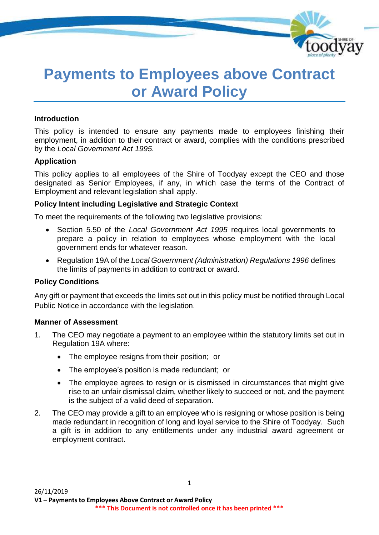

# **Payments to Employees above Contract or Award Policy**

#### **Introduction**

This policy is intended to ensure any payments made to employees finishing their employment, in addition to their contract or award, complies with the conditions prescribed by the *Local Government Act 1995.*

#### **Application**

This policy applies to all employees of the Shire of Toodyay except the CEO and those designated as Senior Employees, if any, in which case the terms of the Contract of Employment and relevant legislation shall apply.

#### **Policy Intent including Legislative and Strategic Context**

To meet the requirements of the following two legislative provisions:

- Section 5.50 of the *Local Government Act 1995* requires local governments to prepare a policy in relation to employees whose employment with the local government ends for whatever reason.
- Regulation 19A of the *Local Government (Administration) Regulations 1996* defines the limits of payments in addition to contract or award.

#### **Policy Conditions**

Any gift or payment that exceeds the limits set out in this policy must be notified through Local Public Notice in accordance with the legislation.

#### **Manner of Assessment**

- 1. The CEO may negotiate a payment to an employee within the statutory limits set out in Regulation 19A where:
	- The employee resigns from their position; or
	- The employee's position is made redundant; or
	- The employee agrees to resign or is dismissed in circumstances that might give rise to an unfair dismissal claim, whether likely to succeed or not, and the payment is the subject of a valid deed of separation.
- 2. The CEO may provide a gift to an employee who is resigning or whose position is being made redundant in recognition of long and loyal service to the Shire of Toodyay. Such a gift is in addition to any entitlements under any industrial award agreement or employment contract.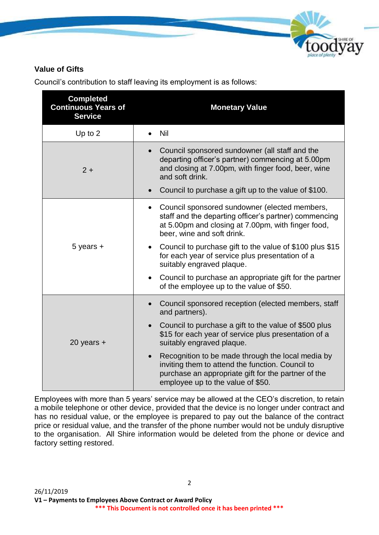

### **Value of Gifts**

| <b>Completed</b><br><b>Continuous Years of</b><br><b>Service</b> | <b>Monetary Value</b>                                                                                                                                                                                          |  |
|------------------------------------------------------------------|----------------------------------------------------------------------------------------------------------------------------------------------------------------------------------------------------------------|--|
| Up to 2                                                          | Nil                                                                                                                                                                                                            |  |
| $2 +$                                                            | Council sponsored sundowner (all staff and the<br>$\bullet$<br>departing officer's partner) commencing at 5.00pm<br>and closing at 7.00pm, with finger food, beer, wine<br>and soft drink.                     |  |
|                                                                  | Council to purchase a gift up to the value of \$100.<br>$\bullet$                                                                                                                                              |  |
| $5$ years $+$                                                    | Council sponsored sundowner (elected members,<br>staff and the departing officer's partner) commencing<br>at 5.00pm and closing at 7.00pm, with finger food,<br>beer, wine and soft drink.                     |  |
|                                                                  | Council to purchase gift to the value of \$100 plus \$15<br>for each year of service plus presentation of a<br>suitably engraved plaque.                                                                       |  |
|                                                                  | Council to purchase an appropriate gift for the partner<br>of the employee up to the value of \$50.                                                                                                            |  |
|                                                                  | Council sponsored reception (elected members, staff<br>$\bullet$<br>and partners).                                                                                                                             |  |
| 20 years $+$                                                     | Council to purchase a gift to the value of \$500 plus<br>$\bullet$<br>\$15 for each year of service plus presentation of a<br>suitably engraved plaque.                                                        |  |
|                                                                  | Recognition to be made through the local media by<br>$\bullet$<br>inviting them to attend the function. Council to<br>purchase an appropriate gift for the partner of the<br>employee up to the value of \$50. |  |

Council's contribution to staff leaving its employment is as follows:

Employees with more than 5 years' service may be allowed at the CEO's discretion, to retain a mobile telephone or other device, provided that the device is no longer under contract and has no residual value, or the employee is prepared to pay out the balance of the contract price or residual value, and the transfer of the phone number would not be unduly disruptive to the organisation. All Shire information would be deleted from the phone or device and factory setting restored.